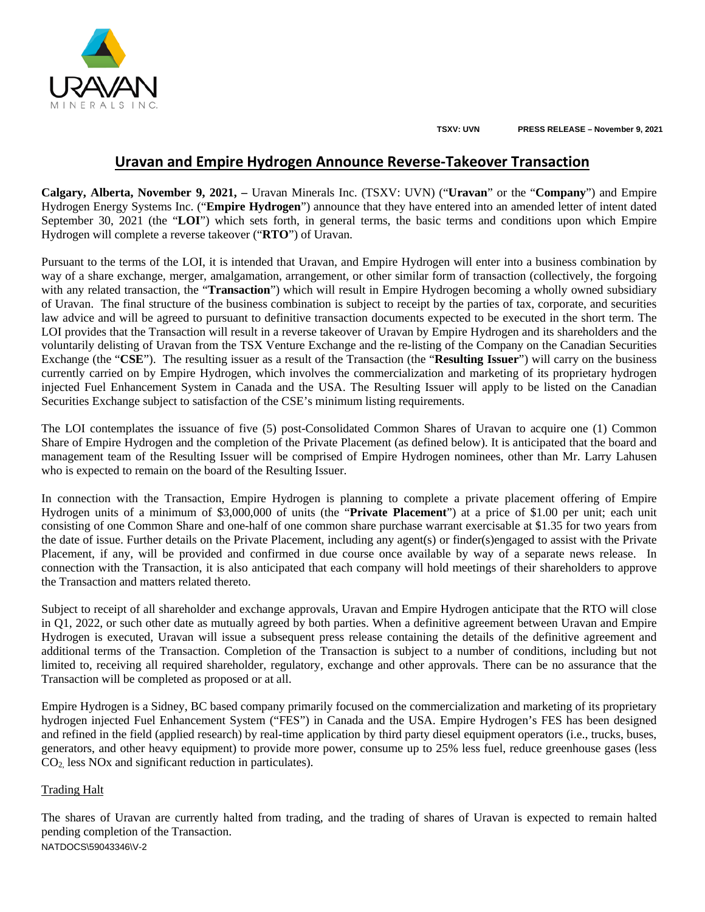

**TSXV: UVN PRESS RELEASE – November 9, 2021**

# **Uravan and Empire Hydrogen Announce Reverse-Takeover Transaction**

**Calgary, Alberta, November 9, 2021, –** Uravan Minerals Inc. (TSXV: UVN) ("**Uravan**" or the "**Company**") and Empire Hydrogen Energy Systems Inc. ("**Empire Hydrogen**") announce that they have entered into an amended letter of intent dated September 30, 2021 (the "**LOI**") which sets forth, in general terms, the basic terms and conditions upon which Empire Hydrogen will complete a reverse takeover ("**RTO**") of Uravan.

Pursuant to the terms of the LOI, it is intended that Uravan, and Empire Hydrogen will enter into a business combination by way of a share exchange, merger, amalgamation, arrangement, or other similar form of transaction (collectively, the forgoing with any related transaction, the "**Transaction**") which will result in Empire Hydrogen becoming a wholly owned subsidiary of Uravan. The final structure of the business combination is subject to receipt by the parties of tax, corporate, and securities law advice and will be agreed to pursuant to definitive transaction documents expected to be executed in the short term. The LOI provides that the Transaction will result in a reverse takeover of Uravan by Empire Hydrogen and its shareholders and the voluntarily delisting of Uravan from the TSX Venture Exchange and the re-listing of the Company on the Canadian Securities Exchange (the "**CSE**"). The resulting issuer as a result of the Transaction (the "**Resulting Issuer**") will carry on the business currently carried on by Empire Hydrogen, which involves the commercialization and marketing of its proprietary hydrogen injected Fuel Enhancement System in Canada and the USA. The Resulting Issuer will apply to be listed on the Canadian Securities Exchange subject to satisfaction of the CSE's minimum listing requirements.

The LOI contemplates the issuance of five (5) post-Consolidated Common Shares of Uravan to acquire one (1) Common Share of Empire Hydrogen and the completion of the Private Placement (as defined below). It is anticipated that the board and management team of the Resulting Issuer will be comprised of Empire Hydrogen nominees, other than Mr. Larry Lahusen who is expected to remain on the board of the Resulting Issuer.

In connection with the Transaction, Empire Hydrogen is planning to complete a private placement offering of Empire Hydrogen units of a minimum of \$3,000,000 of units (the "**Private Placement**") at a price of \$1.00 per unit; each unit consisting of one Common Share and one-half of one common share purchase warrant exercisable at \$1.35 for two years from the date of issue. Further details on the Private Placement, including any agent(s) or finder(s)engaged to assist with the Private Placement, if any, will be provided and confirmed in due course once available by way of a separate news release. In connection with the Transaction, it is also anticipated that each company will hold meetings of their shareholders to approve the Transaction and matters related thereto.

Subject to receipt of all shareholder and exchange approvals, Uravan and Empire Hydrogen anticipate that the RTO will close in Q1, 2022, or such other date as mutually agreed by both parties. When a definitive agreement between Uravan and Empire Hydrogen is executed, Uravan will issue a subsequent press release containing the details of the definitive agreement and additional terms of the Transaction. Completion of the Transaction is subject to a number of conditions, including but not limited to, receiving all required shareholder, regulatory, exchange and other approvals. There can be no assurance that the Transaction will be completed as proposed or at all.

Empire Hydrogen is a Sidney, BC based company primarily focused on the commercialization and marketing of its proprietary hydrogen injected Fuel Enhancement System ("FES") in Canada and the USA. Empire Hydrogen's FES has been designed and refined in the field (applied research) by real-time application by third party diesel equipment operators (i.e., trucks, buses, generators, and other heavy equipment) to provide more power, consume up to 25% less fuel, reduce greenhouse gases (less CO2, less NOx and significant reduction in particulates).

### Trading Halt

NATDOCS\59043346\V-2 The shares of Uravan are currently halted from trading, and the trading of shares of Uravan is expected to remain halted pending completion of the Transaction.